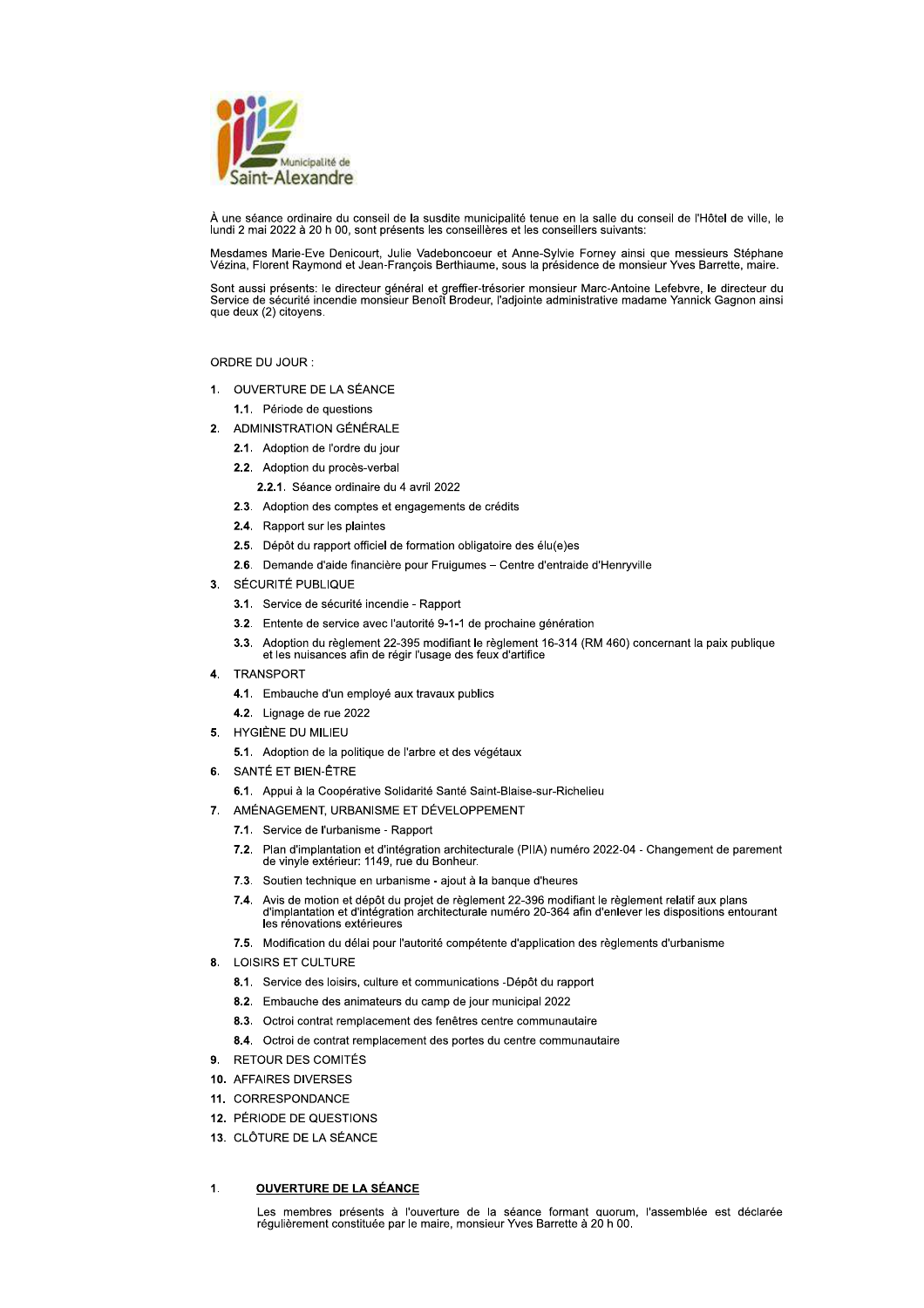

À une séance ordinaire du conseil de la susdite municipalité tenue en la salle du conseil de l'Hôtel de ville, le lundi 2 mai 2022 à 20 h 00, sont présents les conseillères et les conseillers suivants:

Mesdames Marie-Eve Denicourt, Julie Vadeboncoeur et Anne-Sylvie Forney ainsi que messieurs Stéphane<br>Vézina, Florent Raymond et Jean-François Berthiaume, sous la présidence de monsieur Yves Barrette, maire.

Sont aussi présents: le directeur général et greffier-trésorier monsieur Marc-Antoine Lefebvre, le directeur du<br>Service de sécurité incendie monsieur Benoît Brodeur, l'adjointe administrative madame Yannick Gagnon ainsi que deux (2) citoyens.

### ORDRE DU JOUR :

1. OUVERTURE DE LA SÉANCE

1.1. Période de questions

- 2. ADMINISTRATION GÉNÉRALE
	- 2.1. Adoption de l'ordre du jour
	- 2.2. Adoption du procès-verbal
		- 2.2.1. Séance ordinaire du 4 avril 2022
	- 2.3. Adoption des comptes et engagements de crédits
	- 2.4. Rapport sur les plaintes
	- 2.5. Dépôt du rapport officiel de formation obligatoire des élu(e)es
	- 2.6. Demande d'aide financière pour Fruigumes Centre d'entraide d'Henryville
- 3. SÉCURITÉ PUBLIQUE
	- 3.1. Service de sécurité incendie Rapport
	- 3.2. Entente de service avec l'autorité 9-1-1 de prochaine génération
	- 3.3. Adoption du règlement 22-395 modifiant le règlement 16-314 (RM 460) concernant la paix publique et les nuisances afin de régir l'usage des feux d'artifice
	-
- 4. TRANSPORT
	- 4.1. Embauche d'un employé aux travaux publics
	- 4.2. Lignage de rue 2022
- 5. HYGIÈNE DU MILIEU
	- 5.1. Adoption de la politique de l'arbre et des végétaux
- 6. SANTÉ ET BIEN-ÊTRE
	- 6.1. Appui à la Coopérative Solidarité Santé Saint-Blaise-sur-Richelieu
- 7. AMÉNAGEMENT, URBANISME ET DÉVELOPPEMENT
	- 7.1. Service de l'urbanisme Rapport
	- 7.2. Plan d'implantation et d'intégration architecturale (PIIA) numéro 2022-04 Changement de parement de vinyle extérieur: 1149, rue du Bonheur.
	- 7.3. Soutien technique en urbanisme ajout à la banque d'heures
	- Avis de motion et dépôt du projet de règlement 22-396 modifiant le règlement relatif aux plans<br>d'implantation et d'intégration architecturale numéro 20-364 afin d'enlever les dispositions entourant **74** les rénovations extérieures
	- 7.5. Modification du délai pour l'autorité compétente d'application des règlements d'urbanisme
- 8. LOISIRS ET CULTURE
	- 8.1. Service des loisirs, culture et communications -Dépôt du rapport
	- 8.2. Embauche des animateurs du camp de jour municipal 2022
	- 8.3. Octroi contrat remplacement des fenêtres centre communautaire
	- 8.4. Octroi de contrat remplacement des portes du centre communautaire
- 9. RETOUR DES COMITÉS
- 10. AFFAIRES DIVERSES
- 11. CORRESPONDANCE
- 12 PÉRIODE DE OUESTIONS
- 13. CLÔTURE DE LA SÉANCE

#### **OUVERTURE DE LA SÉANCE**  $\blacktriangleleft$

Les membres présents à l'ouverture de la séance formant quorum, l'assemblée est déclarée régulièrement constituée par le maire, monsieur Yves Barrette à 20 h 00.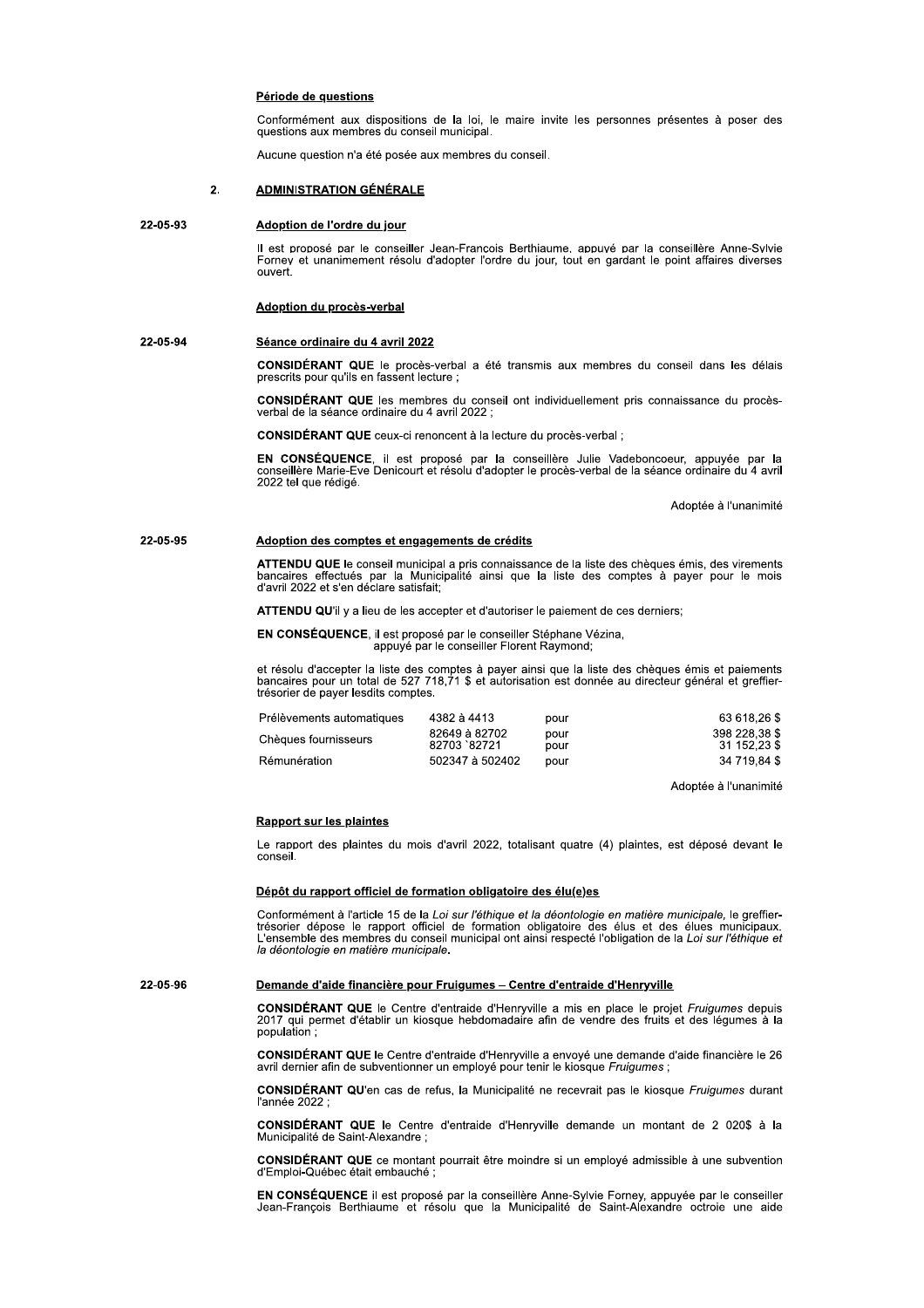### Période de questions

Conformément aux dispositions de la loi, le maire invite les personnes présentes à poser des questions aux membres du conseil municipal.

Aucune question n'a été posée aux membres du conseil.

#### $\overline{2}$ **ADMINISTRATION GÉNÉRALE**

#### 22-05-93 Adoption de l'ordre du jour

Il est proposé par le conseiller Jean-François Berthiaume, appuyé par la conseillère Anne-Sylvie Forney et unanimement résolu d'adopter l'ordre du jour, tout en gardant le point affaires diverses ouvert

### Adoption du procès-verbal

#### 22-05-94 Séance ordinaire du 4 avril 2022

CONSIDÉRANT QUE le procès-verbal a été transmis aux membres du conseil dans les délais prescrits pour qu'ils en fassent lecture ;

CONSIDÉRANT QUE les membres du conseil ont individuellement pris connaissance du procèsverbal de la séance ordinaire du 4 avril 2022 ;

CONSIDÉRANT QUE ceux-ci renoncent à la lecture du procès-verbal ;

EN CONSÉQUENCE, il est proposé par la conseillère Julie Vadeboncoeur, appuyée par la conseillère Marie-Eve Denicourt et résolu d'adopter le procès-verbal de la séance ordinaire du 4 avril 2022 tel que rédigé.

Adoptée à l'unanimité

#### 22-05-95 Adoption des comptes et engagements de crédits

ATTENDU QUE le conseil municipal a pris connaissance de la liste des chèques émis, des virements bancaires effectués par la Municipalité ainsi que la liste des comptes à payer pour le mois d'avril 2022 et s'en déclare sati

ATTENDU QU'il y a lieu de les accepter et d'autoriser le paiement de ces derniers;

EN CONSÉQUENCE, il est proposé par le conseiller Stéphane Vézina,<br>appuyé par le conseiller Florent Raymond;

et résolu d'accepter la liste des comptes à payer ainsi que la liste des chèques émis et paiements<br>bancaires pour un total de 527 718,71 \$ et autorisation est donnée au directeur général et greffiertrésorier de payer lesdits comptes.

| Prélèvements automatiques | 4382 à 4413                  | pour         | 63 618.26 \$                  |
|---------------------------|------------------------------|--------------|-------------------------------|
| Chèques fournisseurs      | 82649 à 82702<br>82703 82721 | pour<br>pour | 398 228,38 \$<br>31 152,23 \$ |
| Rémunération              | 502347 à 502402              | pour         | 34 719,84 \$                  |

Adoptée à l'unanimité

### **Rapport sur les plaintes**

Le rapport des plaintes du mois d'avril 2022, totalisant quatre (4) plaintes, est déposé devant le conseil.

### Dépôt du rapport officiel de formation obligatoire des élu(e)es

Conformément à l'article 15 de la Loi sur l'éthique et la déontologie en matière municipale, le greffiertrésorier dépose le rapport officiel de formation obligatoire des élus et des élus municipaux.<br>L'ensemble des membres du conseil municipal ont ainsi respecté l'obligation de la Loi sur l'éthique et la déontologie en matière municipale.

22-05-96

### Demande d'aide financière pour Fruigumes - Centre d'entraide d'Henryville

CONSIDÉRANT QUE le Centre d'entraide d'Henryville a mis en place le projet Fruigumes depuis 2017 qui permet d'établir un kiosque hebdomadaire afin de vendre des fruits et des légumes à la population

CONSIDÉRANT QUE le Centre d'entraide d'Henryville a envoyé une demande d'aide financière le 26 avril dernier afin de subventionner un employé pour tenir le kiosque Fruigumes;

**CONSIDÉRANT QU'en cas de refus, la Municipalité ne recevrait pas le kiosque Fruigumes durant** l'année 2022

CONSIDÉRANT QUE le Centre d'entraide d'Henryville demande un montant de 2 020\$ à la Municipalité de Saint-Alexandre ;

CONSIDÉRANT QUE ce montant pourrait être moindre si un employé admissible à une subvention d'Emploi-Québec était embauché

EN CONSÉQUENCE il est proposé par la conseillère Anne-Sylvie Forney, appuyée par le conseiller Jean-François Berthiaume et résolu que la Municipalité de Saint-Alexandre octroie une aide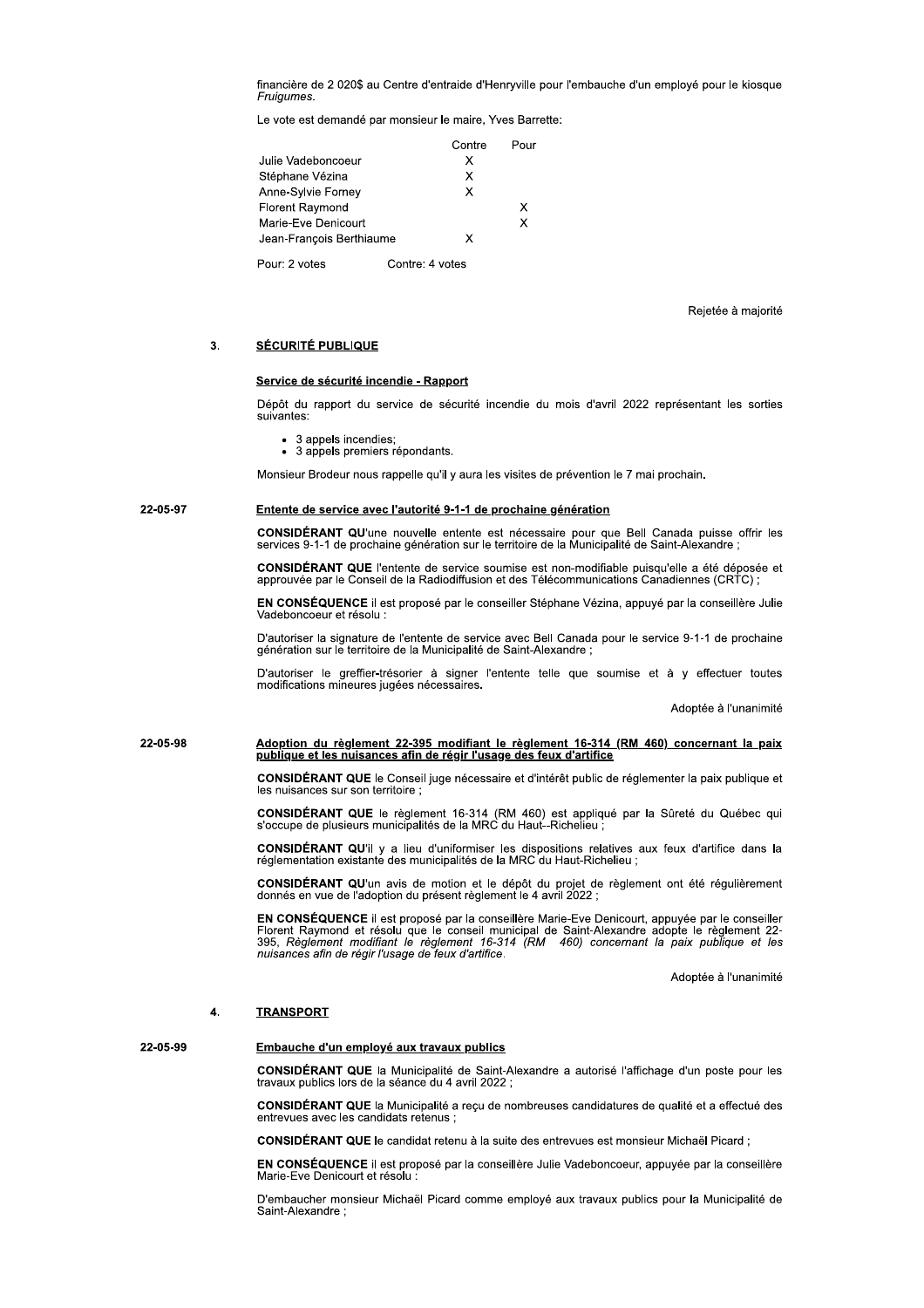financiere de 2 020\$ au Centre d'entraide d'Henryville pour l'embauche d'un employe pour le klosque

de par monsieur le maire, Yves Barrette:

| Fruigumes.             | financière de 2 020\$ au Centre d'entraide d'Henryville p |                 |      |
|------------------------|-----------------------------------------------------------|-----------------|------|
|                        | Le vote est demandé par monsieur le maire, Yves Barre     |                 |      |
|                        |                                                           | Contre          | Pour |
| Julie Vadeboncoeur     |                                                           | X               |      |
| Stéphane Vézina        |                                                           | x               |      |
| Anne-Sylvie Forney     |                                                           | X               |      |
| <b>Florent Raymond</b> |                                                           |                 | X    |
| Marie-Eve Denicourt    |                                                           |                 | x    |
|                        | Jean-François Berthiaume                                  | x               |      |
| Pour: 2 votes          |                                                           | Contre: 4 votes |      |

Rejetée à majorité

### 3. SÉCURITÉ PUBLIQUE

Depot du rapport du service de securite incendie du mois d'avril 2022 representant les sorties suivantes: Service de securite incendie - Rapport<br>
Dépôt du rapport du service de sécurité incendie du mois d'avril 2022 représentar<br>
suivantes:<br>
• 3 appels incendies;<br>
• 3 appels premiers répondants.<br>
Monsieur Brodeur nous rappelle

- tes:<br>3 appels incendies;<br>3 appels memisses (
- 3 appeis premiers repondants.

### 22-05-97 Entente de service avec l'autorité 9-1-1 de prochaine génération

**CONSIDERANT QU**'une nouvelle entente est necessaire pour que Bell Canada puisse offrir les<br>services 9-1-1 de prochaine génération sur le territoire de la Municipalité de Saint-Alexandre ;

CONSIDERANT QUE l'entente de service soumise est non-modifiable puisqu'elle a ete deposee et<br>approuvée par le Conseil de la Radiodiffusion et des Télécommunications Canadiennes (CRTC) ;

EN CONSEQUENCE II est propose par le consellier Stephane Vezina, appuye par la conselliere Julie vadeboncoeur et resolu :

D'autoriser la signature de l'entente de service avec Bell Canada pour le service 9-1-1 de procnaine<br>génération sur le territoire de la Municipalité de Saint-Alexandre ;

D'autoriser le greffier-tresorier à signer l'entente telle que soumise et à y effectuer toutes<br>modifications mineures jugées nécessaires.

Adoptee a l'unanimite

# jj[kl[m bU^]YS^ZFUXFQsoPPZYFjj[=mlF^USS\ZYFoPFQsoPPZYFq[=qFCFkFT^ZTPQZ\ZYFo\F]\S ]XoSXPFPYFoPVFZXSV\ZTPVF\SZFUPFQWsSQFopXV\sPFUPVFPXFUp\QYSSTP

**CONSIDERANT QUE** le Conseil juge necessaire et d'interet public de reglementer la paix publique et les nuisances sur son territoire ;

CONSIDERANT QUE le regiement 16-314 (RM 460) est applique par la Surete du Quebec qui<br>s'occupe de plusieurs municipalités de la MRC du Haut--Richelieu ;

CONSIDERANT QU'il y a lieu d'uniformiser les dispositions relatives aux feux d'artifice dans la<br>réglementation existante des municipalités de la MRC du Haut-Richelieu ;

**CONSIDERANT QU**'un avis de motion et le depot du projet de reglement ont ete regulierement<br>donnés en vue de l'adoption du présent règlement le 4 avril 2022 ;

**EN CONSEQUENCE** II est propose par la conselliere Marie-Eve Denicourt, appuyée par le consellier<br>Florent Raymond et résolu que le conseil municipal de Saint-Alexandre adopte le règlement 22-<br>395, Règlement modifiant le rè nuisances afin de régir l'usage de feux d'artifice.

Adoptee a runanimite

### 4. TRANSPORT

### 22-05-99 Embauche d'un employé aux travaux publics

CONSIDERANT QUE la Municipalite de Saint-Alexandre a autorise l'affichage d'un poste pour les<br>travaux publics lors de la séance du 4 avril 2022 ;

**CONSIDERANT QUE** la Municipalite a reçu de nombreuses candidatures de qualite et a effectue des entrevues avec les candidats retenus ;

**CONSIDERANT QUE** le candidat retenu a la suite des entrevues est monsieur Michael Picard ;

EN CONSEQUENCE II est propose par la conselliere Julie Vadeboncoeur, appuyée par la conselliere Marie-Eve Denicourt et resolu :

D'embaucher monsieur Michael Picard comme employe aux travaux publics pour la Municipalité de Saint-Alexandre ;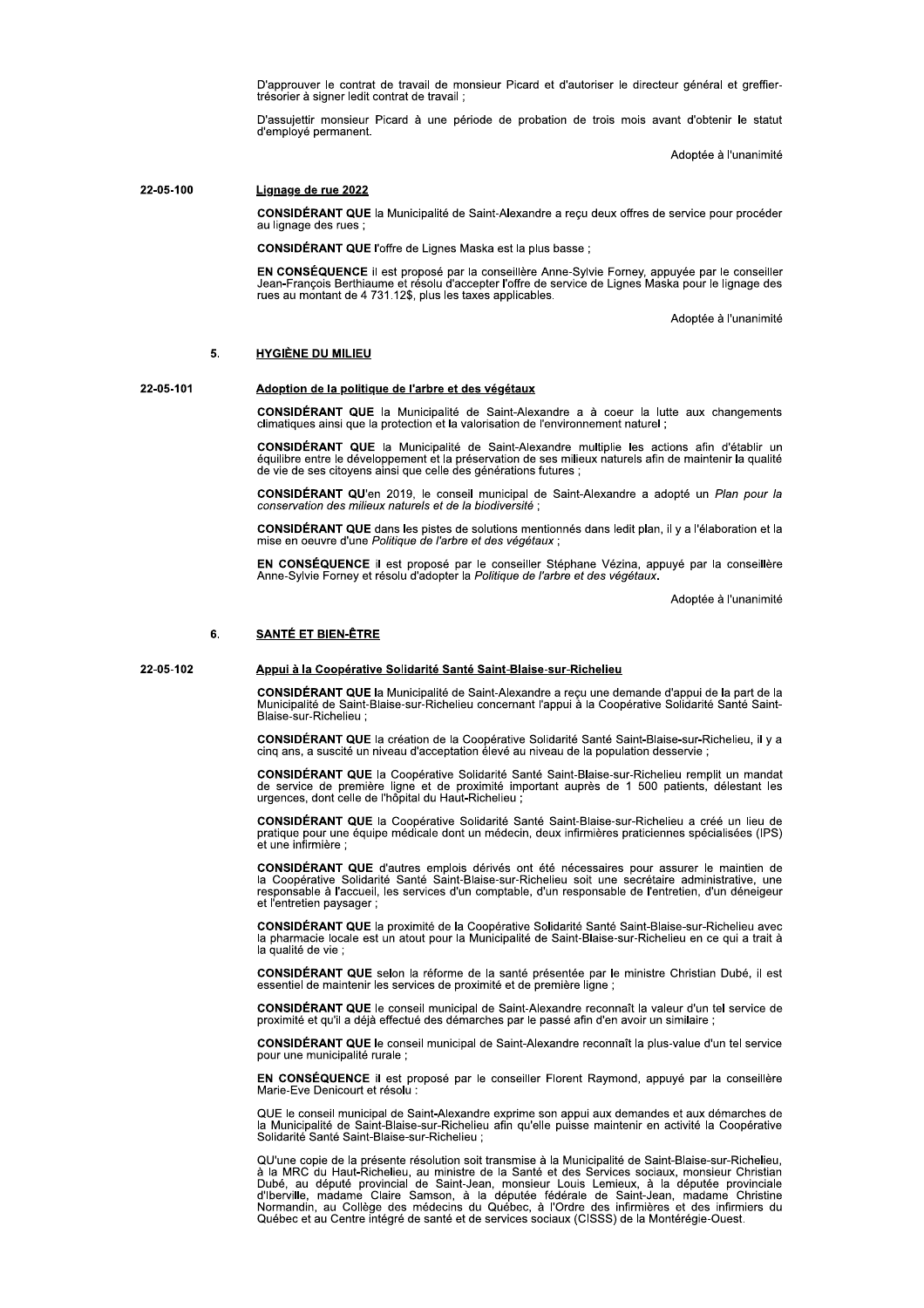D'approuver le contrat de travail de monsieur Picard et d'autoriser le directeur général et greffiertrésorier à signer ledit contrat de travail;

D'assujettir monsieur Picard à une période de probation de trois mois avant d'obtenir le statut d'employé permanent.

Adoptée à l'unanimité

#### 22-05-100 Lignage de rue 2022

CONSIDÉRANT QUE la Municipalité de Saint-Alexandre a reçu deux offres de service pour procéder au lignage des rues

CONSIDÉRANT QUE l'offre de Lignes Maska est la plus basse ;

EN CONSÉQUENCE il est proposé par la conseillère Anne-Sylvie Forney, appuyée par le conseiller<br>Jean-François Berthiaume et résolu d'accepter l'offre de service de Lignes Maska pour le lignage des rues au montant de 4 731.12\$, plus les taxes applicables.

Adoptée à l'unanimité

#### **HYGIÈNE DU MILIEU** 5

### 22-05-101

# Adoption de la politique de l'arbre et des végétaux

**CONSIDÉRANT QUE** la Municipalité de Saint-Alexandre a à coeur la lutte aux changements climatiques ainsi que la protection et la valorisation de l'environnement naturel ;

CONSIDÉRANT QUE la Municipalité de Saint-Alexandre multiplie les actions afin d'établir un<br>équilibre entre le développement et la préservation de ses milieux naturels afin de maintenir la qualité de vie de ses citovens ainsi que celle des générations futures :

CONSIDÉRANT QU'en 2019, le conseil municipal de Saint-Alexandre a adopté un Plan pour la conservation des milieux naturels et de la biodiversité

CONSIDÉRANT QUE dans les pistes de solutions mentionnés dans ledit plan, il y a l'élaboration et la mise en oeuvre d'une Politique de l'arbre et des végétaux

EN CONSÉQUENCE il est proposé par le conseiller Stéphane Vézina, appuyé par la conseillère<br>Anne-Sylvie Forney et résolu d'adopter la Politique de l'arbre et des végétaux.

Adoptée à l'unanimité

#### 6. **SANTÉ ET BIEN-ÊTRE**

22-05-102

### Appui à la Coopérative Solidarité Santé Saint-Blaise-sur-Richelieu

CONSIDÉRANT QUE la Municipalité de Saint-Alexandre a reçu une demande d'appui de la part de la Municipalité de Saint-Blaise-sur-Richelieu concernant l'appui à la Coopérative Solidarité Santé Saint-Blaise-sur-Richelieu :

CONSIDÉRANT QUE la création de la Coopérative Solidarité Santé Saint-Blaise-sur-Richelieu, il y a cinq ans, a suscité un niveau d'acceptation élevé au niveau de la population desservie ;

CONSIDÉRANT QUE la Coopérative Solidarité Santé Saint-Blaise-sur-Richelieu remplit un mandat de service de première ligne et de proximité important auprès de 1 500 patients, délestant les urgences, dont celle de l'hôpital

CONSIDÉRANT QUE la Coopérative Solidarité Santé Saint-Blaise-sur-Richelieu a créé un lieu de pratique pour une équipe médicale dont un médecin, deux infirmières praticiennes spécialisées (IPS) et une infirmière

CONSIDÉRANT QUE d'autres emplois dérivés ont été nécessaires pour assurer le maintien de la Coopérative Solidarité Santé Saint-Blaise-sur-Richelieu soit une secrétaire administrative, une<br>responsable à l'accueil, les services d'un comptable, d'un responsable de l'entretien, d'un déneigeur et l'entretien paysager ;

CONSIDÉRANT QUE la proximité de la Coopérative Solidarité Santé Saint-Blaise-sur-Richelieu avec<br>la pharmacie locale est un atout pour la Municipalité de Saint-Blaise-sur-Richelieu en ce qui a trait à la qualité de vie :

CONSIDÉRANT QUE selon la réforme de la santé présentée par le ministre Christian Dubé, il est essentiel de maintenir les services de proximité et de première ligne ;

**CONSIDÉRANT QUE** le conseil municipal de Saint-Alexandre reconnaît la valeur d'un tel service de proximité et qu'il a déjà effectué des démarches par le passé afin d'en avoir un similaire ;

CONSIDÉRANT QUE le conseil municipal de Saint-Alexandre reconnaît la plus-value d'un tel service pour une municipalité rurale ;

EN CONSÉQUENCE il est proposé par le conseiller Florent Raymond, appuyé par la conseillère Marie-Eve Denicourt et résolu :

QUE le conseil municipal de Saint-Alexandre exprime son appui aux demandes et aux démarches de<br>la Municipalité de Saint-Blaise-sur-Richelieu afin qu'elle puisse maintenir en activité la Coopérative Solidarité Santé Saint-Blaise-sur-Richelieu :

QU'une copie de la présente résolution soit transmise à la Municipalité de Saint-Blaise-sur-Richelieu, à la MRC du Haut-Richelieu, au ministre de la Santé et des Services sociaux, monsieur Christian Dubé, au député provinc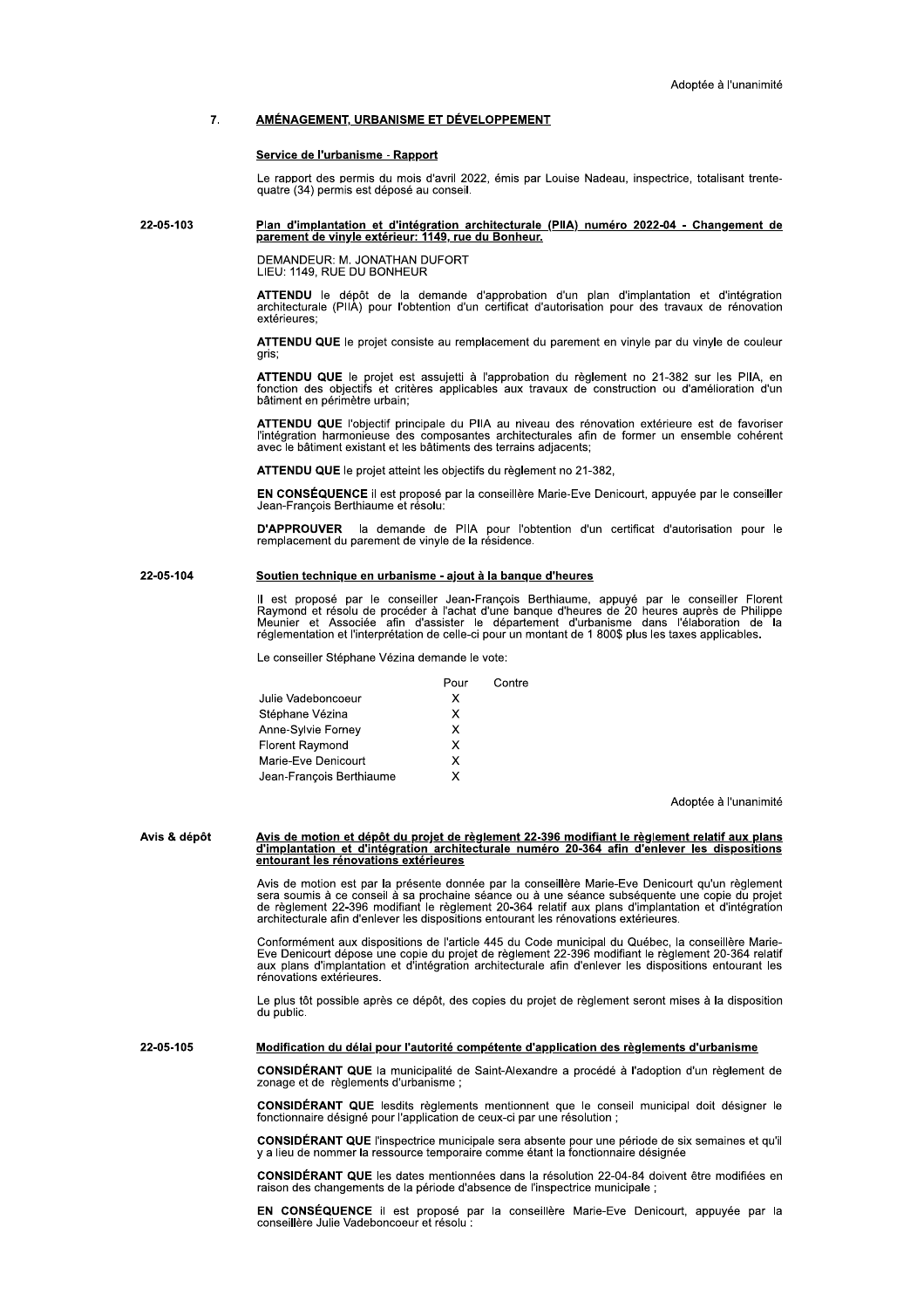#### $\overline{7}$ AMÉNAGEMENT, URBANISME ET DÉVELOPPEMENT

### Service de l'urbanisme - Rapport

Le rapport des permis du mois d'avril 2022, émis par Louise Nadeau, inspectrice, totalisant trentequatre (34) permis est déposé au conseil.

#### 22-05-103 Plan d'implantation et d'intégration architecturale (PIIA) numéro 2022-04 - Changement de parement de vinyle extérieur: 1149, rue du Bonheur.

DEMANDEUR: M. JONATHAN DUFORT<br>LIEU: 1149, RUE DU BONHEUR

ATTENDU le dépôt de la demande d'approbation d'un plan d'implantation et d'intégration<br>architecturale (PIIA) pour l'obtention d'un certificat d'autorisation pour des travaux de rénovation extérieures

ATTENDU QUE le projet consiste au remplacement du parement en vinyle par du vinyle de couleur aris:

ATTENDU QUE le projet est assujetti à l'approbation du règlement no 21-382 sur les PIIA, en fonction des objectifs et critères applicables aux travaux de construction ou d'amélioration d'un bâtiment en périmètre urbain;

ATTENDU QUE l'objectif principale du PIIA au niveau des rénovation extérieure est de favoriser Pintégration harmonieuse des composantes architecturales afin de former un ensemble cohérent<br>avec le bâtiment existant et les bâtiments des terrains adjacents;

ATTENDU QUE le projet atteint les objectifs du règlement no 21-382,

EN CONSÉQUENCE il est proposé par la conseillère Marie-Eve Denicourt, appuyée par le conseiller<br>Jean-François Berthiaume et résolu:

D'APPROUVER la demande de PIIA pour l'obtention d'un certificat d'autorisation pour le remplacement du parement de vinyle de la résidence.

#### 22-05-104 Soutien technique en urbanisme - ajout à la banque d'heures

Il est proposé par le conseiller Jean-François Berthiaume, appuyé par le conseiller Florent<br>Raymond et résolu de procéder à l'achat d'une banque d'heures de 20 heures auprès de Philippe<br>Meunier et Associée afin d'assister

Contre

Le conseiller Stéphane Vézina demande le vote:

| Pour |
|------|
| x    |
| x    |
| x    |
| x    |
| x    |
| x    |
|      |

Adoptée à l'unanimité

#### Avis & dépôt Avis de motion et dépôt du projet de règlement 22-396 modifiant le règlement relatif aux plans d'implantation et d'intégration architecturale numéro 20-364 afin d'enlever les dispositions entourant les rénovations extérieures

Avis de motion est par la présente donnée par la conseillère Marie-Eve Denicourt qu'un règlement sera soumis à ce conseil à sa prochaine séance ou à une séance subséquente une copie du projet de règlement 22-396 modifiant architecturale afin d'enlever les dispositions entourant les rénovations extérieures.

Conformément aux dispositions de l'article 445 du Code municipal du Québec, la conseillère Marie-Eve Denicourt dépose une copie du projet de règlement 22-396 modifiant le règlement 20-364 relatif<br>aux plans d'implantation et d'intégration architecturale afin d'enlever les dispositions entourant les rénovations extérieures.

Le plus tôt possible après ce dépôt, des copies du projet de règlement seront mises à la disposition du public.

22-05-105 Modification du délai pour l'autorité compétente d'application des règlements d'urbanisme

> CONSIDÉRANT QUE la municipalité de Saint-Alexandre a procédé à l'adoption d'un règlement de zonage et de règlements d'urbanisme :

> CONSIDÉRANT QUE lesdits règlements mentionnent que le conseil municipal doit désigner le fonctionnaire désigné pour l'application de ceux-ci par une résolution ;

CONSIDÉRANT QUE l'inspectrice municipale sera absente pour une période de six semaines et qu'il y a lieu de nommer la ressource temporaire comme étant la fonctionnaire désignée

CONSIDÉRANT QUE les dates mentionnées dans la résolution 22-04-84 doivent être modifiées en raison des changements de la période d'absence de l'inspectrice municipale :

EN CONSÉQUENCE il est proposé par la conseillère Marie-Eve Denicourt, appuyée par la conseillère Julie Vadeboncoeur et résolu :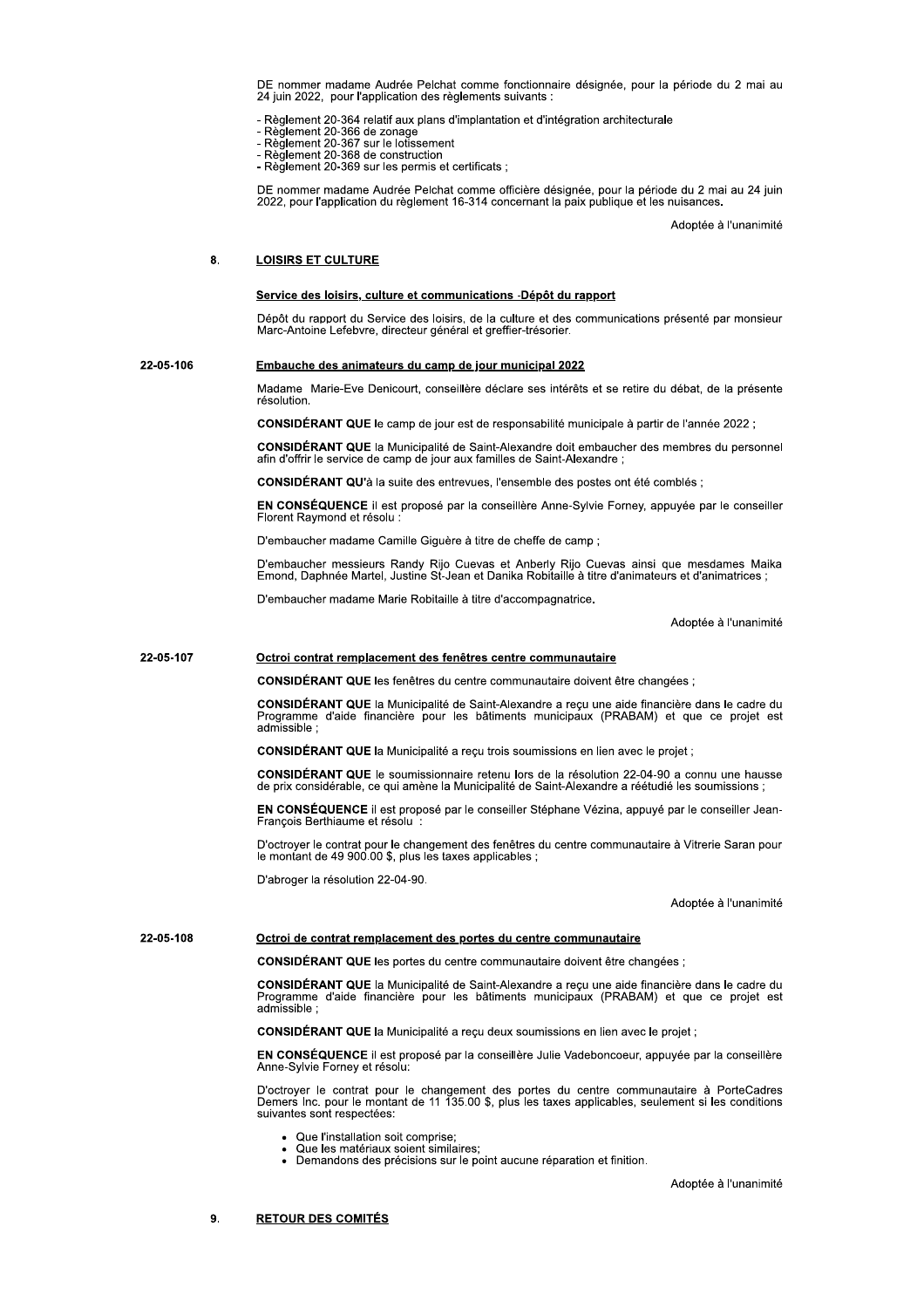DE nommer madame Audree Pelchat comme fonctionnaire designee, pour la periode du 2 mai au z4 juin 2022, pour rapplication des regiements suivants :

- Regiement 20-366 de zonage<br>- Règlement 20-366 de zonage<br>- Règlement 20-366 de zonage<br>- Règlement 20-367 sur le lotissement<br>- Règlement 20-368 de construction

- 
- 
- ae c - Reglement 20-368 de construction<br>- Règlement 20-369 sur les permis et certificats ;

DE nommer madame Audrée Pelchat cc<br>
24 juin 2022, pour l'application des règle<br>
- Règlement 20-364 relatif aux plans d'im<br>
- Règlement 20-366 de zonage<br>
- Règlement 20-367 sur le lotissement<br>
- Règlement 20-368 de construc DE nommer madame Audree Pelchat comme officiere designee, pour la periode du 2 mai au 24 juin<br>2022, pour l'application du règlement 16-314 concernant la paix publique et les nuisances.

Adoptee a l'unanimite

### 8. LOISIRS ET CULTURE

<u>Se**rvice des loisirs, culture et communications -Depot du rapport**<br>Dépôt du rapport du Service des loisirs, de la culture et des communications présenté par monsieur<br>Marc-Antoine Lefebvre, directeur général et greffier-tr</u> marc-Antoine Letebvre, directeur general et gi

### 22-05-106 Embauche des animateurs du camp de jour municipal 2022

Madame Marie-Eve Denicourt, conselliere declare ses interets et se retire du debat, de la presente résolution

**CONSIDERANT QUE** le camp de jour est de responsabilité municipale a partir de l'année 2022 ;

CONSIDERANT QUE la Municipalite de Saint-Alexandre doit embaucher des membres du personnel<br>afin d'offrir le service de camp de jour aux familles de Saint-Alexandre ;

**CONSIDERANT QU** a la suite des entrevues, l'ensemble des postes ont ete combles ;

EN CONSEQUENCE ji est propose par la conselliere Anne-Sylvie Forney, appuyee par le conseiller Florent Raymond et resolu : -

D'embaucher madame Camille Giguere a titre de cheffe de camp ;

D'embaucher messieurs Randy Rijo Cuevas et Anberly Rijo Cuevas ainsi que mesdames Malka<br>Emond, Daphnée Martel, Justine St-Jean et Danika Robitaille à titre d'animateurs et d'animatrices ;

D'embaucher madame Marie Robitalile à titre d'accompagnatrice.

Adoptee a l'unanimite

### 22-05-107 **Octroi contrat remplacement des fenêtres centre communautaire**

**CONSIDERANT QUE** les tenetres du centre communautaire doivent etre changees ;

CONSIDERANT QUE la Municipalite de Saint-Alexandre a reçu une alde financiere dans le cadre du<br>Programme d'aide financière pour les bâtiments municipaux (PRABAM) et que ce projet est admissible ;

 $\bf CONSIDEKANI~I~QUE$  ia Municipalite a reçu trois soumissions en lien avec le projet ;

**CONSIDERANT QUE** le soumissionnaire retenu lors de la resolution  $22-04-90$  a connu une nausse de prix considerable, ce qui amene la Municipalite de Saint-Alexandre a reetudie les soumissions ;  $\,$ )-

EN CONSEQUENCE II est propose par le consellier Stepnane Vezina, appuye par le consellier Jean-<br>François Berthiaume et résolu : Berthiaume et resolu : --

D'octroyer le contrat pour le changement des tenetres du centre communautaire à Vitrerie Saran pour<br>le montant de 49 900.00 \$, plus les taxes applicables ;

D'abroger la resolution 22-04-90.

Adoptee a runanimite

## 22-05-108 **Detroi de contrat remplacement des portes du centre communautaire**

**CONSIDERANT QUE** les portes du centre communautaire doivent etre changees ;

CONSIDERANT QUE la Municipalite de Saint-Alexandre a reçu une aide financiere dans le cadre du<br>Programme d'aide financière pour les bâtiments municipaux (PRABAM) et que ce projet est<br>admissible ;

 $\bf CONSIDEKANI$  QUE la Municipalite a reçu deux soumissions en lien avec le projet ;

EN CONSEQUENCE II est propose par la conselliere Julie Vadeboncoeur, appuyée par la conselliere Anne-Sylvie Forney et resolu:

D'octroyer le contrat pour le changement des portes du centre communautaire à PorteCadres Demers inc. pour le montant de 11 135.00 \$, plus les taxes applicables, seulement si les conditions suivantes sont respectees:

- Que l'installation soit co
- Que les matériaux soient similaires:
- Que les materiaux soient similaires;<br>Demandons des précisions sur le point aucune réparation et finition.

Adoptee a runanimite